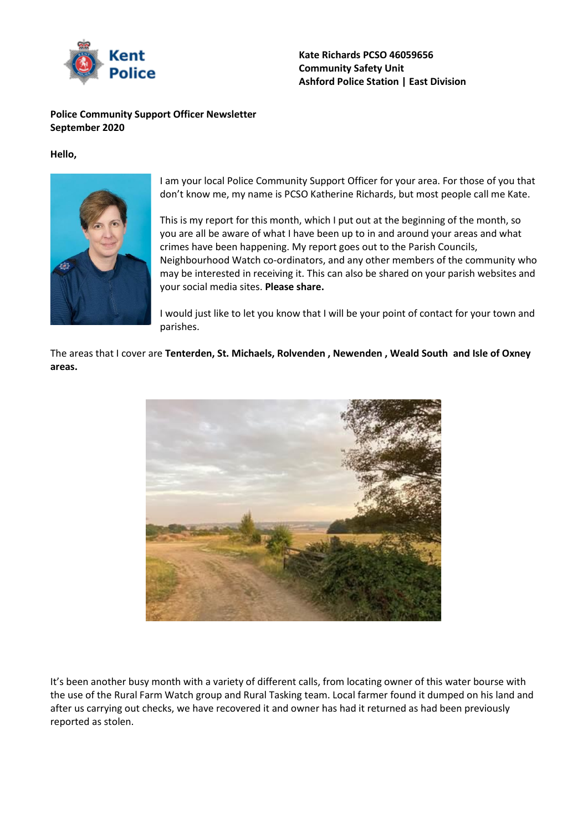

### **Police Community Support Officer Newsletter September 2020**

#### **Hello,**



I am your local Police Community Support Officer for your area. For those of you that don't know me, my name is PCSO Katherine Richards, but most people call me Kate.

This is my report for this month, which I put out at the beginning of the month, so you are all be aware of what I have been up to in and around your areas and what crimes have been happening. My report goes out to the Parish Councils, Neighbourhood Watch co-ordinators, and any other members of the community who may be interested in receiving it. This can also be shared on your parish websites and your social media sites. **Please share.**

I would just like to let you know that I will be your point of contact for your town and parishes.

The areas that I cover are **Tenterden, St. Michaels, Rolvenden , Newenden , Weald South and Isle of Oxney areas.** 



It's been another busy month with a variety of different calls, from locating owner of this water bourse with the use of the Rural Farm Watch group and Rural Tasking team. Local farmer found it dumped on his land and after us carrying out checks, we have recovered it and owner has had it returned as had been previously reported as stolen.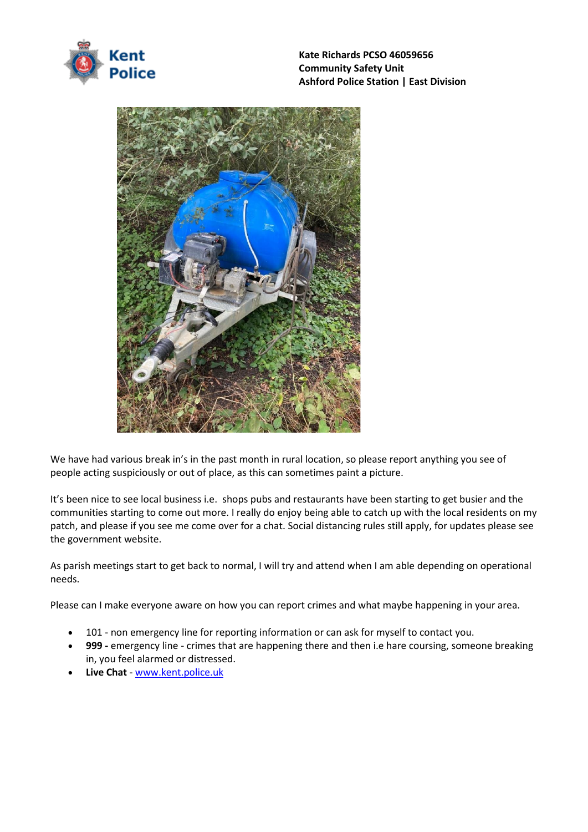



We have had various break in's in the past month in rural location, so please report anything you see of people acting suspiciously or out of place, as this can sometimes paint a picture.

It's been nice to see local business i.e. shops pubs and restaurants have been starting to get busier and the communities starting to come out more. I really do enjoy being able to catch up with the local residents on my patch, and please if you see me come over for a chat. Social distancing rules still apply, for updates please see the government website.

As parish meetings start to get back to normal, I will try and attend when I am able depending on operational needs.

Please can I make everyone aware on how you can report crimes and what maybe happening in your area.

- 101 non emergency line for reporting information or can ask for myself to contact you.
- **999 -** emergency line crimes that are happening there and then i.e hare coursing, someone breaking in, you feel alarmed or distressed.
- **Live Chat**  [www.kent.police.uk](http://www.kent.police.uk/)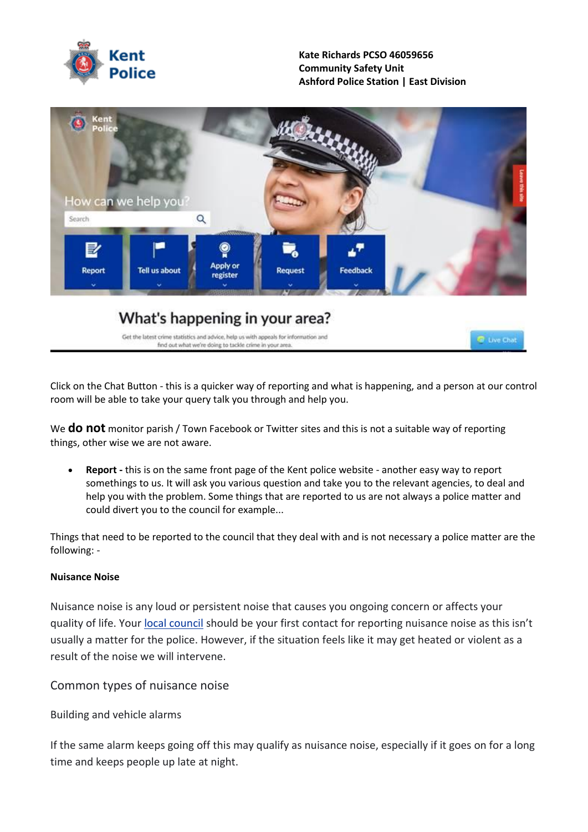

#### **Kate Richards PCSO 46059656 Community Safety Unit Ashford Police Station | East Division**



# What's happening in your area?

Get the latest crime statistics and advice, help us with appeals for information and find out what we're doing to tackle crime in your area.

C Live Chat

Click on the Chat Button - this is a quicker way of reporting and what is happening, and a person at our control room will be able to take your query talk you through and help you.

We **do not** monitor parish / Town Facebook or Twitter sites and this is not a suitable way of reporting things, other wise we are not aware.

• **Report -** this is on the same front page of the Kent police website - another easy way to report somethings to us. It will ask you various question and take you to the relevant agencies, to deal and help you with the problem. Some things that are reported to us are not always a police matter and could divert you to the council for example...

Things that need to be reported to the council that they deal with and is not necessary a police matter are the following: -

### **Nuisance Noise**

Nuisance noise is any loud or persistent noise that causes you ongoing concern or affects your quality of life. Your local [council](https://eur03.safelinks.protection.outlook.com/?url=https%3A%2F%2Fwww.gov.uk%2Ffind-local-council&data=02%7C01%7Ckatherine.richards%40kent.police.uk%7Cabc16bd19e0d43a3940e08d84f1ca02c%7Cf31b07f09cf940db964d6ff986a97e3d%7C0%7C0%7C637346331652517125&sdata=95R0oI5HZnGnq26vv53jFUxocMiLDNbEP2btydN%2BG3g%3D&reserved=0) should be your first contact for reporting nuisance noise as this isn't usually a matter for the police. However, if the situation feels like it may get heated or violent as a result of the noise we will intervene.

Common types of nuisance noise

Building and vehicle alarms

If the same alarm keeps going off this may qualify as nuisance noise, especially if it goes on for a long time and keeps people up late at night.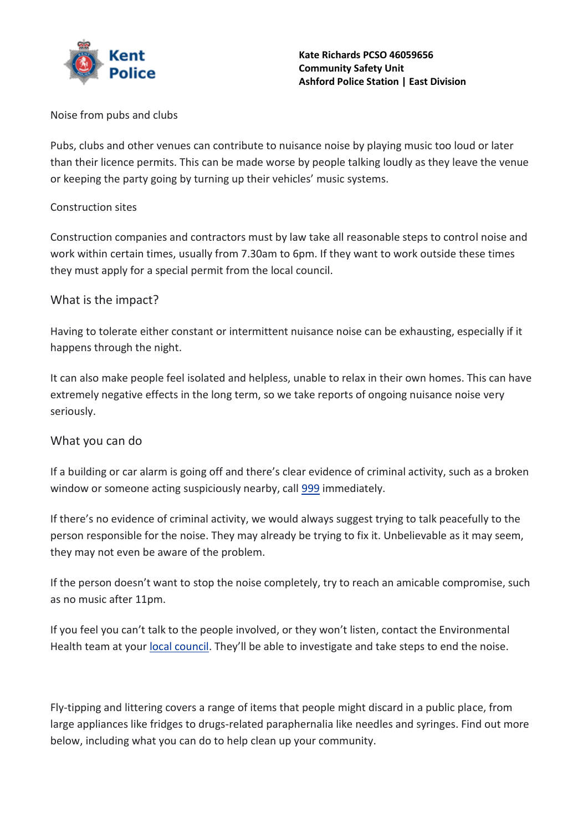

Noise from pubs and clubs

Pubs, clubs and other venues can contribute to nuisance noise by playing music too loud or later than their licence permits. This can be made worse by people talking loudly as they leave the venue or keeping the party going by turning up their vehicles' music systems.

## Construction sites

Construction companies and contractors must by law take all reasonable steps to control noise and work within certain times, usually from 7.30am to 6pm. If they want to work outside these times they must apply for a special permit from the local council.

# What is the impact?

Having to tolerate either constant or intermittent nuisance noise can be exhausting, especially if it happens through the night.

It can also make people feel isolated and helpless, unable to relax in their own homes. This can have extremely negative effects in the long term, so we take reports of ongoing nuisance noise very seriously.

# What you can do

If a building or car alarm is going off and there's clear evidence of criminal activity, such as a broken window or someone acting suspiciously nearby, call [999](tel:999) immediately.

If there's no evidence of criminal activity, we would always suggest trying to talk peacefully to the person responsible for the noise. They may already be trying to fix it. Unbelievable as it may seem, they may not even be aware of the problem.

If the person doesn't want to stop the noise completely, try to reach an amicable compromise, such as no music after 11pm.

If you feel you can't talk to the people involved, or they won't listen, contact the Environmental Health team at your local [council](https://eur03.safelinks.protection.outlook.com/?url=https%3A%2F%2Fwww.gov.uk%2Freport-noise-pollution-to-council&data=02%7C01%7Ckatherine.richards%40kent.police.uk%7Cabc16bd19e0d43a3940e08d84f1ca02c%7Cf31b07f09cf940db964d6ff986a97e3d%7C0%7C0%7C637346331652527082&sdata=Eg37X6G%2FZjeXQejO5mEAeiixb6R2eAuvPEzyOxFsOEM%3D&reserved=0). They'll be able to investigate and take steps to end the noise.

Fly-tipping and littering covers a range of items that people might discard in a public place, from large appliances like fridges to drugs-related paraphernalia like needles and syringes. Find out more below, including what you can do to help clean up your community.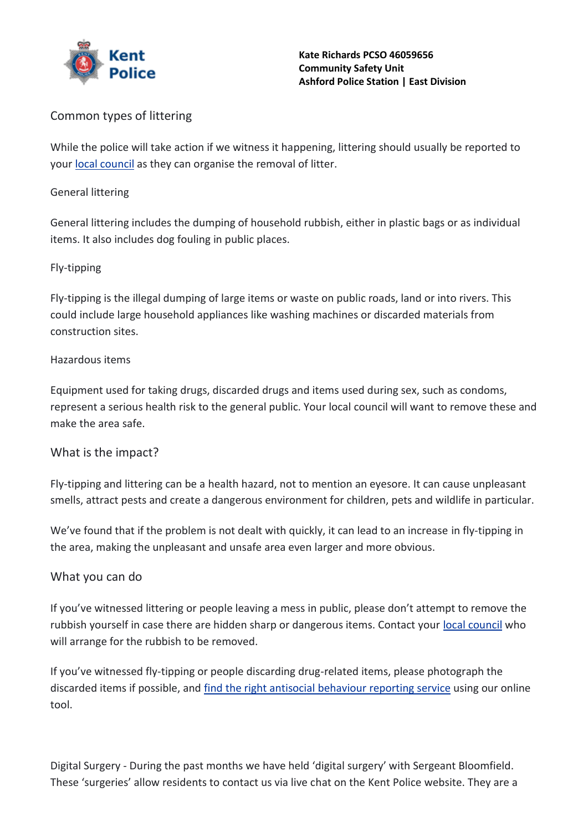

# Common types of littering

While the police will take action if we witness it happening, littering should usually be reported to your local [council](https://eur03.safelinks.protection.outlook.com/?url=https%3A%2F%2Fwww.gov.uk%2Ffind-local-council&data=02%7C01%7Ckatherine.richards%40kent.police.uk%7Cabc16bd19e0d43a3940e08d84f1ca02c%7Cf31b07f09cf940db964d6ff986a97e3d%7C0%7C0%7C637346331652527082&sdata=1lj0W%2B8AjdgI%2FGs3OudyrVTgqQUEvFzwFvt4BviHYO8%3D&reserved=0) as they can organise the removal of litter.

## General littering

General littering includes the dumping of household rubbish, either in plastic bags or as individual items. It also includes dog fouling in public places.

# Fly-tipping

Fly-tipping is the illegal dumping of large items or waste on public roads, land or into rivers. This could include large household appliances like washing machines or discarded materials from construction sites.

# Hazardous items

Equipment used for taking drugs, discarded drugs and items used during sex, such as condoms, represent a serious health risk to the general public. Your local council will want to remove these and make the area safe.

# What is the impact?

Fly-tipping and littering can be a health hazard, not to mention an eyesore. It can cause unpleasant smells, attract pests and create a dangerous environment for children, pets and wildlife in particular.

We've found that if the problem is not dealt with quickly, it can lead to an increase in fly-tipping in the area, making the unpleasant and unsafe area even larger and more obvious.

# What you can do

If you've witnessed littering or people leaving a mess in public, please don't attempt to remove the rubbish yourself in case there are hidden sharp or dangerous items. Contact your local [council](https://eur03.safelinks.protection.outlook.com/?url=https%3A%2F%2Fwww.gov.uk%2Ffind-local-council&data=02%7C01%7Ckatherine.richards%40kent.police.uk%7Cabc16bd19e0d43a3940e08d84f1ca02c%7Cf31b07f09cf940db964d6ff986a97e3d%7C0%7C0%7C637346331652537037&sdata=9032EGwrqO3RWfGbcvyz8B68bb5iBeIQak4yIQ%2Bvd2g%3D&reserved=0) who will arrange for the rubbish to be removed.

If you've witnessed fly-tipping or people discarding drug-related items, please photograph the discarded items if possible, and find the right antisocial [behaviour](https://www.kent.police.uk/ro/report/asb/asb-b/report-antisocial-behaviour/) reporting service using our online tool.

Digital Surgery - During the past months we have held 'digital surgery' with Sergeant Bloomfield. These 'surgeries' allow residents to contact us via live chat on the Kent Police website. They are a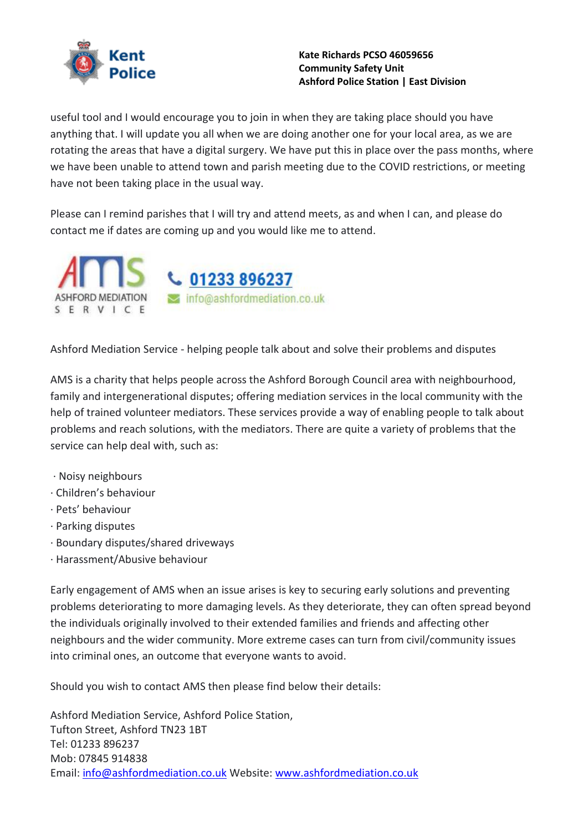

useful tool and I would encourage you to join in when they are taking place should you have anything that. I will update you all when we are doing another one for your local area, as we are rotating the areas that have a digital surgery. We have put this in place over the pass months, where we have been unable to attend town and parish meeting due to the COVID restrictions, or meeting have not been taking place in the usual way.

Please can I remind parishes that I will try and attend meets, as and when I can, and please do contact me if dates are coming up and you would like me to attend.



Ashford Mediation Service - helping people talk about and solve their problems and disputes

AMS is a charity that helps people across the Ashford Borough Council area with neighbourhood, family and intergenerational disputes; offering mediation services in the local community with the help of trained volunteer mediators. These services provide a way of enabling people to talk about problems and reach solutions, with the mediators. There are quite a variety of problems that the service can help deal with, such as:

- · Noisy neighbours
- · Children's behaviour
- · Pets' behaviour
- · Parking disputes
- · Boundary disputes/shared driveways
- · Harassment/Abusive behaviour

Early engagement of AMS when an issue arises is key to securing early solutions and preventing problems deteriorating to more damaging levels. As they deteriorate, they can often spread beyond the individuals originally involved to their extended families and friends and affecting other neighbours and the wider community. More extreme cases can turn from civil/community issues into criminal ones, an outcome that everyone wants to avoid.

Should you wish to contact AMS then please find below their details:

Ashford Mediation Service, Ashford Police Station, Tufton Street, Ashford TN23 1BT Tel: 01233 896237 Mob: 07845 914838 Email: [info@ashfordmediation.co.uk](mailto:info@ashfordmediation.co.uk) Website: [www.ashfordmediation.co.uk](http://www.ashfordmediation.co.uk/)